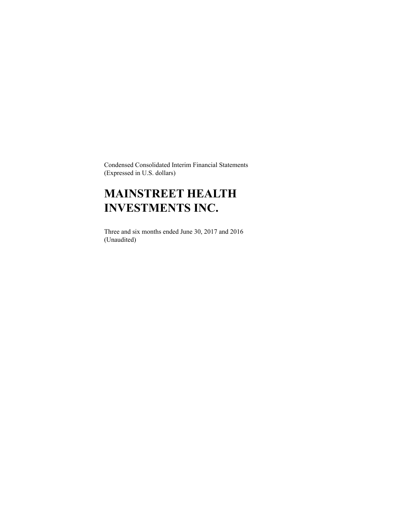Condensed Consolidated Interim Financial Statements (Expressed in U.S. dollars)

# **MAINSTREET HEALTH INVESTMENTS INC.**

Three and six months ended June 30, 2017 and 2016 (Unaudited)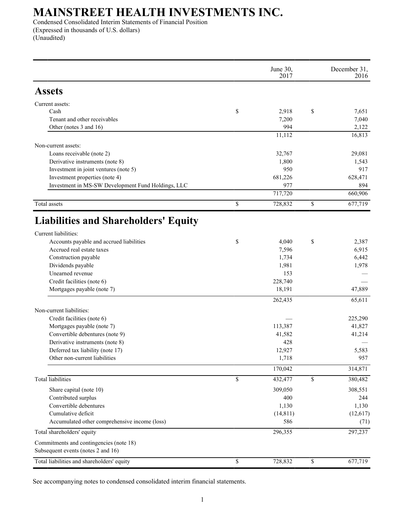Condensed Consolidated Interim Statements of Financial Position (Expressed in thousands of U.S. dollars) (Unaudited)

|                                                          | June 30,<br>2017  |              | December 31,<br>2016 |
|----------------------------------------------------------|-------------------|--------------|----------------------|
| <b>Assets</b>                                            |                   |              |                      |
| Current assets:                                          |                   |              |                      |
| Cash                                                     | \$<br>2,918       | \$           | 7,651                |
| Tenant and other receivables                             | 7,200             |              | 7,040                |
| Other (notes 3 and 16)                                   | 994               |              | 2,122                |
|                                                          | 11,112            |              | 16,813               |
| Non-current assets:                                      |                   |              |                      |
| Loans receivable (note 2)                                | 32,767            |              | 29,081               |
| Derivative instruments (note 8)                          | 1,800             |              | 1,543                |
| Investment in joint ventures (note 5)                    | 950               |              | 917                  |
| Investment properties (note 4)                           | 681,226<br>977    |              | 628,471<br>894       |
| Investment in MS-SW Development Fund Holdings, LLC       | 717,720           |              | 660,906              |
| Total assets                                             | \$<br>728,832     | $\mathbb{S}$ | 677,719              |
| <b>Liabilities and Shareholders' Equity</b>              |                   |              |                      |
| Current liabilities:                                     |                   |              |                      |
| Accounts payable and accrued liabilities                 | \$<br>4,040       | \$           | 2,387                |
| Accrued real estate taxes                                | 7,596             |              | 6,915                |
| Construction payable                                     | 1,734             |              | 6,442                |
| Dividends payable                                        | 1,981             |              | 1,978                |
| Unearned revenue                                         | 153               |              |                      |
| Credit facilities (note 6)<br>Mortgages payable (note 7) | 228,740<br>18,191 |              | 47,889               |
|                                                          | 262,435           |              | 65,611               |
| Non-current liabilities:                                 |                   |              |                      |
| Credit facilities (note 6)                               |                   |              | 225,290              |
| Mortgages payable (note 7)                               | 113,387           |              | 41,827               |
| Convertible debentures (note 9)                          | 41,582            |              | 41,214               |
| Derivative instruments (note 8)                          | 428               |              |                      |
| Deferred tax liability (note 17)                         | 12,927            |              | 5,583                |
| Other non-current liabilities                            | 1,718             |              | 957                  |
|                                                          | 170,042           |              | 314,871              |
| <b>Total liabilities</b>                                 | \$<br>432,477     | \$           | 380,482              |
| Share capital (note 10)                                  | 309,050           |              | 308,551              |
| Contributed surplus                                      | 400               |              | 244                  |
| Convertible debentures                                   | 1,130             |              | 1,130                |
| Cumulative deficit                                       | (14, 811)         |              | (12, 617)            |
| Accumulated other comprehensive income (loss)            | 586               |              | (71)                 |
| Total shareholders' equity                               | 296,355           |              | 297,237              |
| Commitments and contingencies (note 18)                  |                   |              |                      |
| Subsequent events (notes 2 and 16)                       |                   |              |                      |
| Total liabilities and shareholders' equity               | \$<br>728,832     | \$           | 677,719              |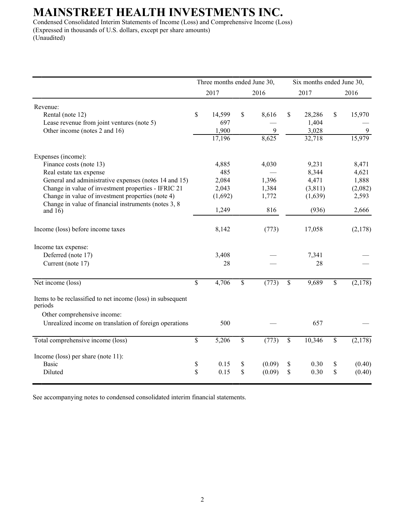Condensed Consolidated Interim Statements of Income (Loss) and Comprehensive Income (Loss) (Expressed in thousands of U.S. dollars, except per share amounts) (Unaudited)

|                                                                        | Three months ended June 30, |         |    |        | Six months ended June 30, |         |    |         |
|------------------------------------------------------------------------|-----------------------------|---------|----|--------|---------------------------|---------|----|---------|
|                                                                        |                             | 2017    |    | 2016   |                           | 2017    |    | 2016    |
| Revenue:                                                               |                             |         |    |        |                           |         |    |         |
| Rental (note 12)                                                       | \$                          | 14,599  | \$ | 8,616  | \$                        | 28,286  | \$ | 15,970  |
| Lease revenue from joint ventures (note 5)                             |                             | 697     |    |        |                           | 1,404   |    |         |
| Other income (notes 2 and 16)                                          |                             | 1,900   |    | 9      |                           | 3,028   |    | 9       |
|                                                                        |                             | 17,196  |    | 8,625  |                           | 32,718  |    | 15,979  |
| Expenses (income):                                                     |                             |         |    |        |                           |         |    |         |
| Finance costs (note 13)                                                |                             | 4,885   |    | 4,030  |                           | 9,231   |    | 8,471   |
| Real estate tax expense                                                |                             | 485     |    |        |                           | 8,344   |    | 4,621   |
| General and administrative expenses (notes 14 and 15)                  |                             | 2,084   |    | 1,396  |                           | 4,471   |    | 1,888   |
| Change in value of investment properties - IFRIC 21                    |                             | 2,043   |    | 1,384  |                           | (3,811) |    | (2,082) |
| Change in value of investment properties (note 4)                      |                             | (1,692) |    | 1,772  |                           | (1,639) |    | 2,593   |
| Change in value of financial instruments (notes 3, 8)<br>and $16$ )    |                             | 1,249   |    | 816    |                           | (936)   |    | 2,666   |
| Income (loss) before income taxes                                      |                             | 8,142   |    | (773)  |                           | 17,058  |    | (2,178) |
| Income tax expense:                                                    |                             |         |    |        |                           |         |    |         |
| Deferred (note 17)                                                     |                             | 3,408   |    |        |                           | 7,341   |    |         |
| Current (note 17)                                                      |                             | 28      |    |        |                           | 28      |    |         |
| Net income (loss)                                                      | $\mathbf S$                 | 4,706   | \$ | (773)  | $\mathsf{\$}$             | 9,689   | \$ | (2,178) |
| Items to be reclassified to net income (loss) in subsequent<br>periods |                             |         |    |        |                           |         |    |         |
| Other comprehensive income:                                            |                             |         |    |        |                           |         |    |         |
| Unrealized income on translation of foreign operations                 |                             | 500     |    |        |                           | 657     |    |         |
| Total comprehensive income (loss)                                      | \$                          | 5,206   | \$ | (773)  | $\mathbf{\hat{S}}$        | 10,346  | \$ | (2,178) |
| Income (loss) per share (note $11$ ):                                  |                             |         |    |        |                           |         |    |         |
| <b>Basic</b>                                                           | \$                          | 0.15    | \$ | (0.09) | \$                        | 0.30    | \$ | (0.40)  |
| Diluted                                                                | \$                          | 0.15    | \$ | (0.09) | \$                        | 0.30    | \$ | (0.40)  |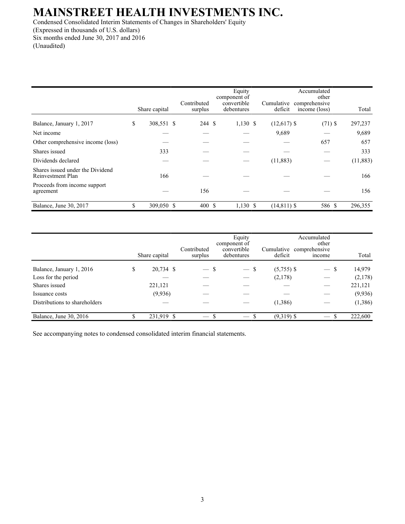Condensed Consolidated Interim Statements of Changes in Shareholders' Equity (Expressed in thousands of U.S. dollars) Six months ended June 30, 2017 and 2016 (Unaudited)

|                                                       | Share capital    | Contributed<br>surplus | Equity<br>component of<br>convertible<br>debentures | Cumulative<br>deficit | Accumulated<br>comprehensive<br>income (loss) | other     | Total    |
|-------------------------------------------------------|------------------|------------------------|-----------------------------------------------------|-----------------------|-----------------------------------------------|-----------|----------|
| Balance, January 1, 2017                              | \$<br>308,551 \$ | 244 \$                 | $1,130$ \$                                          | $(12,617)$ \$         |                                               | $(71)$ \$ | 297,237  |
| Net income                                            |                  |                        |                                                     | 9,689                 |                                               |           | 9,689    |
| Other comprehensive income (loss)                     |                  |                        |                                                     |                       |                                               | 657       | 657      |
| Shares issued                                         | 333              |                        |                                                     |                       |                                               |           | 333      |
| Dividends declared                                    |                  |                        |                                                     | (11, 883)             |                                               |           | (11,883) |
| Shares issued under the Dividend<br>Reinvestment Plan | 166              |                        |                                                     |                       |                                               |           | 166      |
| Proceeds from income support<br>agreement             |                  | 156                    |                                                     |                       |                                               |           | 156      |
| Balance, June 30, 2017                                | \$<br>309,050 \$ | 400S                   | $1,130$ \$                                          | $(14, 811)$ \$        |                                               | 586 \$    | 296,355  |

|                               |   | Share capital | Contributed<br>surplus   | Equity<br>component of<br>convertible<br>debentures | Cumulative<br>deficit | Accumulated<br>other<br>comprehensive<br><i>ncome</i> | Total        |
|-------------------------------|---|---------------|--------------------------|-----------------------------------------------------|-----------------------|-------------------------------------------------------|--------------|
| Balance, January 1, 2016      | S | 20,734 \$     | $-$ \$                   | $-$ \$                                              | $(5,755)$ \$          | $\overline{\phantom{0}}$                              | 14,979<br>-S |
| Loss for the period           |   |               |                          |                                                     | (2,178)               |                                                       | (2,178)      |
| Shares issued                 |   | 221,121       |                          |                                                     |                       |                                                       | 221,121      |
| Issuance costs                |   | (9,936)       |                          |                                                     |                       |                                                       | (9,936)      |
| Distributions to shareholders |   |               |                          |                                                     | (1,386)               |                                                       | (1,386)      |
| Balance, June 30, 2016        |   | 231,919 \$    | $\overline{\phantom{0}}$ |                                                     | $(9,319)$ \$          |                                                       | 222,600      |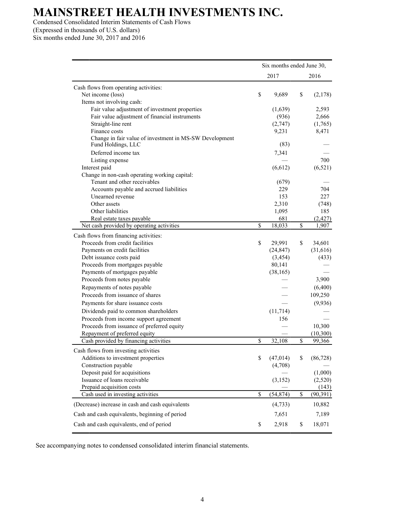Condensed Consolidated Interim Statements of Cash Flows (Expressed in thousands of U.S. dollars)

Six months ended June 30, 2017 and 2016

|                                                                               | Six months ended June 30, |    |           |
|-------------------------------------------------------------------------------|---------------------------|----|-----------|
|                                                                               | 2017                      |    | 2016      |
| Cash flows from operating activities:                                         |                           |    |           |
| Net income (loss)                                                             | \$<br>9,689               | \$ | (2,178)   |
| Items not involving cash:                                                     |                           |    |           |
| Fair value adjustment of investment properties                                | (1,639)                   |    | 2,593     |
| Fair value adjustment of financial instruments                                | (936)                     |    | 2,666     |
| Straight-line rent                                                            | (2,747)                   |    | (1,765)   |
| Finance costs                                                                 | 9,231                     |    | 8,471     |
| Change in fair value of investment in MS-SW Development<br>Fund Holdings, LLC | (83)                      |    |           |
| Deferred income tax                                                           | 7,341                     |    |           |
| Listing expense                                                               |                           |    | 700       |
| Interest paid                                                                 | (6,612)                   |    | (6, 521)  |
| Change in non-cash operating working capital:                                 |                           |    |           |
| Tenant and other receivables                                                  | (679)                     |    |           |
| Accounts payable and accrued liabilities                                      | 229                       |    | 704       |
| Unearned revenue                                                              | 153                       |    | 227       |
| Other assets                                                                  | 2,310                     |    | (748)     |
| Other liabilities                                                             | 1,095                     |    | 185       |
| Real estate taxes payable                                                     | 681                       |    | (2, 427)  |
| Net cash provided by operating activities                                     | \$<br>18,033              | \$ | 1,907     |
| Cash flows from financing activities:                                         |                           |    |           |
| Proceeds from credit facilities                                               | \$<br>29,991              | \$ | 34,601    |
| Payments on credit facilities                                                 | (24, 847)                 |    | (31,616)  |
| Debt issuance costs paid                                                      | (3, 454)                  |    | (433)     |
| Proceeds from mortgages payable                                               | 80,141                    |    |           |
| Payments of mortgages payable                                                 | (38, 165)                 |    |           |
| Proceeds from notes payable                                                   |                           |    | 3,900     |
| Repayments of notes payable                                                   |                           |    | (6,400)   |
| Proceeds from issuance of shares                                              |                           |    | 109,250   |
| Payments for share issuance costs                                             |                           |    | (9,936)   |
| Dividends paid to common shareholders                                         | (11, 714)                 |    |           |
| Proceeds from income support agreement                                        | 156                       |    |           |
| Proceeds from issuance of preferred equity                                    |                           |    | 10,300    |
| Repayment of preferred equity                                                 |                           |    | (10, 300) |
| Cash provided by financing activities                                         | \$<br>32,108              | \$ | 99,366    |
| Cash flows from investing activities                                          |                           |    |           |
| Additions to investment properties                                            | \$<br>(47, 014)           | \$ | (86, 728) |
| Construction payable                                                          | (4,708)                   |    |           |
| Deposit paid for acquisitions                                                 |                           |    | (1,000)   |
| Issuance of loans receivable                                                  | (3, 152)                  |    | (2,520)   |
| Prepaid acquisition costs                                                     |                           |    | (143)     |
| Cash used in investing activities                                             | \$<br>(54, 874)           | \$ | (90, 391) |
| (Decrease) increase in cash and cash equivalents                              | (4,733)                   |    | 10,882    |
| Cash and cash equivalents, beginning of period                                | 7,651                     |    | 7,189     |
| Cash and cash equivalents, end of period                                      | \$<br>2,918               | \$ | 18,071    |
|                                                                               |                           |    |           |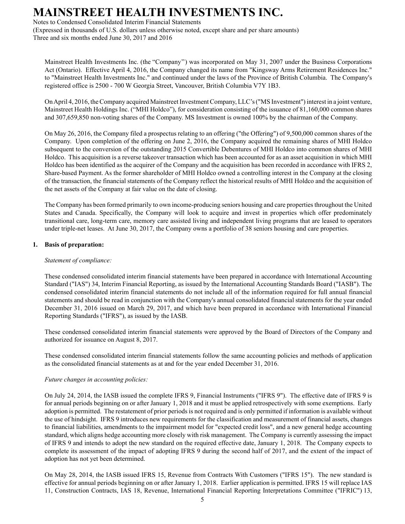Notes to Condensed Consolidated Interim Financial Statements

(Expressed in thousands of U.S. dollars unless otherwise noted, except share and per share amounts) Three and six months ended June 30, 2017 and 2016

Mainstreet Health Investments Inc. (the "Company'') was incorporated on May 31, 2007 under the Business Corporations Act (Ontario). Effective April 4, 2016, the Company changed its name from "Kingsway Arms Retirement Residences Inc." to "Mainstreet Health Investments Inc." and continued under the laws of the Province of British Columbia. The Company's registered office is 2500 - 700 W Georgia Street, Vancouver, British Columbia V7Y 1B3.

On April 4, 2016, the Company acquired Mainstreet Investment Company, LLC's ("MS Investment") interest in a joint venture, Mainstreet Health Holdings Inc. ("MHI Holdco"), for consideration consisting of the issuance of 81,160,000 common shares and 307,659,850 non-voting shares of the Company. MS Investment is owned 100% by the chairman of the Company.

On May 26, 2016, the Company filed a prospectus relating to an offering ("the Offering") of 9,500,000 common shares of the Company. Upon completion of the offering on June 2, 2016, the Company acquired the remaining shares of MHI Holdco subsequent to the conversion of the outstanding 2015 Convertible Debentures of MHI Holdco into common shares of MHI Holdco. This acquisition is a reverse takeover transaction which has been accounted for as an asset acquisition in which MHI Holdco has been identified as the acquirer of the Company and the acquisition has been recorded in accordance with IFRS 2, Share-based Payment. As the former shareholder of MHI Holdco owned a controlling interest in the Company at the closing of the transaction, the financial statements of the Company reflect the historical results of MHI Holdco and the acquisition of the net assets of the Company at fair value on the date of closing.

The Company has been formed primarily to own income-producing seniors housing and care properties throughout the United States and Canada. Specifically, the Company will look to acquire and invest in properties which offer predominately transitional care, long-term care, memory care assisted living and independent living programs that are leased to operators under triple-net leases. At June 30, 2017, the Company owns a portfolio of 38 seniors housing and care properties.

## **1. Basis of preparation:**

### *Statement of compliance:*

These condensed consolidated interim financial statements have been prepared in accordance with International Accounting Standard ("IAS") 34, Interim Financial Reporting, as issued by the International Accounting Standards Board ("IASB"). The condensed consolidated interim financial statements do not include all of the information required for full annual financial statements and should be read in conjunction with the Company's annual consolidated financial statements for the year ended December 31, 2016 issued on March 29, 2017, and which have been prepared in accordance with International Financial Reporting Standards ("IFRS"), as issued by the IASB.

These condensed consolidated interim financial statements were approved by the Board of Directors of the Company and authorized for issuance on August 8, 2017.

These condensed consolidated interim financial statements follow the same accounting policies and methods of application as the consolidated financial statements as at and for the year ended December 31, 2016.

### *Future changes in accounting policies:*

On July 24, 2014, the IASB issued the complete IFRS 9, Financial Instruments ("IFRS 9"). The effective date of IFRS 9 is for annual periods beginning on or after January 1, 2018 and it must be applied retrospectively with some exemptions. Early adoption is permitted. The restatement of prior periods is not required and is only permitted if information is available without the use of hindsight. IFRS 9 introduces new requirements for the classification and measurement of financial assets, changes to financial liabilities, amendments to the impairment model for "expected credit loss", and a new general hedge accounting standard, which aligns hedge accounting more closely with risk management. The Company is currently assessing the impact of IFRS 9 and intends to adopt the new standard on the required effective date, January 1, 2018. The Company expects to complete its assessment of the impact of adopting IFRS 9 during the second half of 2017, and the extent of the impact of adoption has not yet been determined.

On May 28, 2014, the IASB issued IFRS 15, Revenue from Contracts With Customers ("IFRS 15"). The new standard is effective for annual periods beginning on or after January 1, 2018. Earlier application is permitted. IFRS 15 will replace IAS 11, Construction Contracts, IAS 18, Revenue, International Financial Reporting Interpretations Committee ("IFRIC") 13,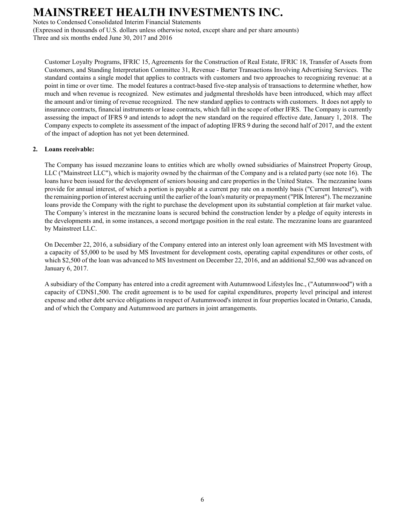Notes to Condensed Consolidated Interim Financial Statements

(Expressed in thousands of U.S. dollars unless otherwise noted, except share and per share amounts) Three and six months ended June 30, 2017 and 2016

Customer Loyalty Programs, IFRIC 15, Agreements for the Construction of Real Estate, IFRIC 18, Transfer of Assets from Customers, and Standing Interpretation Committee 31, Revenue - Barter Transactions Involving Advertising Services. The standard contains a single model that applies to contracts with customers and two approaches to recognizing revenue: at a point in time or over time. The model features a contract-based five-step analysis of transactions to determine whether, how much and when revenue is recognized. New estimates and judgmental thresholds have been introduced, which may affect the amount and/or timing of revenue recognized. The new standard applies to contracts with customers. It does not apply to insurance contracts, financial instruments or lease contracts, which fall in the scope of other IFRS. The Company is currently assessing the impact of IFRS 9 and intends to adopt the new standard on the required effective date, January 1, 2018. The Company expects to complete its assessment of the impact of adopting IFRS 9 during the second half of 2017, and the extent of the impact of adoption has not yet been determined.

## **2. Loans receivable:**

The Company has issued mezzanine loans to entities which are wholly owned subsidiaries of Mainstreet Property Group, LLC ("Mainstreet LLC"), which is majority owned by the chairman of the Company and is a related party (see note 16). The loans have been issued for the development of seniors housing and care properties in the United States. The mezzanine loans provide for annual interest, of which a portion is payable at a current pay rate on a monthly basis ("Current Interest"), with the remaining portion of interest accruing until the earlier of the loan's maturity or prepayment ("PIK Interest"). The mezzanine loans provide the Company with the right to purchase the development upon its substantial completion at fair market value. The Company's interest in the mezzanine loans is secured behind the construction lender by a pledge of equity interests in the developments and, in some instances, a second mortgage position in the real estate. The mezzanine loans are guaranteed by Mainstreet LLC.

On December 22, 2016, a subsidiary of the Company entered into an interest only loan agreement with MS Investment with a capacity of \$5,000 to be used by MS Investment for development costs, operating capital expenditures or other costs, of which \$2,500 of the loan was advanced to MS Investment on December 22, 2016, and an additional \$2,500 was advanced on January 6, 2017.

A subsidiary of the Company has entered into a credit agreement with Autumnwood Lifestyles Inc., ("Autumnwood") with a capacity of CDN\$1,500. The credit agreement is to be used for capital expenditures, property level principal and interest expense and other debt service obligations in respect of Autumnwood's interest in four properties located in Ontario, Canada, and of which the Company and Autumnwood are partners in joint arrangements.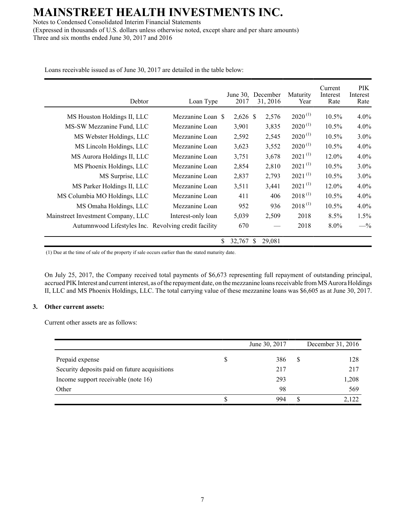Notes to Condensed Consolidated Interim Financial Statements (Expressed in thousands of U.S. dollars unless otherwise noted, except share and per share amounts) Three and six months ended June 30, 2017 and 2016

Loans receivable issued as of June 30, 2017 are detailed in the table below:

| Debtor                                               | Loan Type          | 2017         | June 30, December<br>31, 2016 | Maturity<br>Year | Current<br>Interest<br>Rate | PIK.<br>Interest<br>Rate |
|------------------------------------------------------|--------------------|--------------|-------------------------------|------------------|-----------------------------|--------------------------|
| MS Houston Holdings II, LLC                          | Mezzanine Loan \$  | $2,626$ \$   | 2,576                         | $2020^{(1)}$     | 10.5%                       | $4.0\%$                  |
| MS-SW Mezzanine Fund, LLC                            | Mezzanine Loan     | 3,901        | 3,835                         | $2020^{(1)}$     | $10.5\%$                    | $4.0\%$                  |
| MS Webster Holdings, LLC                             | Mezzanine Loan     | 2,592        | 2,545                         | $2020^{(1)}$     | 10.5%                       | $3.0\%$                  |
| MS Lincoln Holdings, LLC                             | Mezzanine Loan     | 3,623        | 3,552                         | $2020^{(1)}$     | $10.5\%$                    | $4.0\%$                  |
| MS Aurora Holdings II, LLC                           | Mezzanine Loan     | 3,751        | 3,678                         | $2021^{(1)}$     | 12.0%                       | $4.0\%$                  |
| MS Phoenix Holdings, LLC                             | Mezzanine Loan     | 2,854        | 2,810                         | $2021^{(1)}$     | $10.5\%$                    | $3.0\%$                  |
| MS Surprise, LLC                                     | Mezzanine Loan     | 2,837        | 2,793                         | $2021^{(1)}$     | $10.5\%$                    | $3.0\%$                  |
| MS Parker Holdings II, LLC                           | Mezzanine Loan     | 3,511        | 3,441                         | $2021^{(1)}$     | 12.0%                       | $4.0\%$                  |
| MS Columbia MO Holdings, LLC                         | Mezzanine Loan     | 411          | 406                           | $2018^{(1)}$     | 10.5%                       | $4.0\%$                  |
| MS Omaha Holdings, LLC                               | Mezzanine Loan     | 952          | 936                           | $2018^{(1)}$     | $10.5\%$                    | $4.0\%$                  |
| Mainstreet Investment Company, LLC                   | Interest-only loan | 5,039        | 2,509                         | 2018             | 8.5%                        | 1.5%                     |
| Autumnwood Lifestyles Inc. Revolving credit facility |                    | 670          |                               | 2018             | $8.0\%$                     | $-$ %                    |
|                                                      |                    | \$<br>32,767 | 29,081<br>\$                  |                  |                             |                          |

(1) Due at the time of sale of the property if sale occurs earlier than the stated maturity date.

On July 25, 2017, the Company received total payments of \$6,673 representing full repayment of outstanding principal, accrued PIK Interest and current interest, as of the repayment date, on the mezzanine loans receivable from MS Aurora Holdings II, LLC and MS Phoenix Holdings, LLC. The total carrying value of these mezzanine loans was \$6,605 as at June 30, 2017.

### **3. Other current assets:**

Current other assets are as follows:

|                                               |   | June 30, 2017 |   | December 31, 2016 |
|-----------------------------------------------|---|---------------|---|-------------------|
| Prepaid expense                               | S | 386           | S | 128               |
| Security deposits paid on future acquisitions |   | 217           |   | 217               |
| Income support receivable (note 16)           |   | 293           |   | 1,208             |
| Other                                         |   | 98            |   | 569               |
|                                               |   | 994           |   | 2,122             |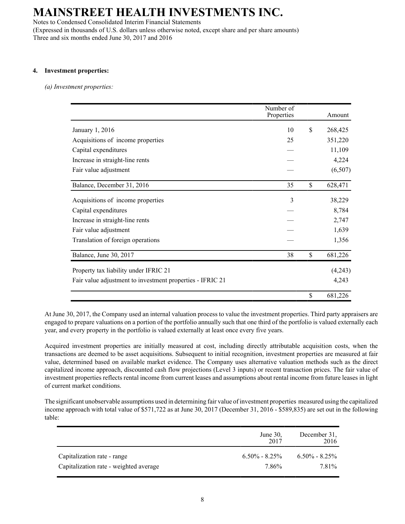Notes to Condensed Consolidated Interim Financial Statements (Expressed in thousands of U.S. dollars unless otherwise noted, except share and per share amounts) Three and six months ended June 30, 2017 and 2016

### **4. Investment properties:**

*(a) Investment properties:*

|                                                           | Number of  |               |
|-----------------------------------------------------------|------------|---------------|
|                                                           | Properties | Amount        |
| January 1, 2016                                           | 10         | \$<br>268,425 |
| Acquisitions of income properties                         | 25         | 351,220       |
| Capital expenditures                                      |            | 11,109        |
| Increase in straight-line rents                           |            | 4,224         |
| Fair value adjustment                                     |            | (6,507)       |
| Balance, December 31, 2016                                | 35         | \$<br>628,471 |
| Acquisitions of income properties                         | 3          | 38,229        |
| Capital expenditures                                      |            | 8,784         |
| Increase in straight-line rents                           |            | 2,747         |
| Fair value adjustment                                     |            | 1,639         |
| Translation of foreign operations                         |            | 1,356         |
| Balance, June 30, 2017                                    | 38         | \$<br>681,226 |
| Property tax liability under IFRIC 21                     |            | (4,243)       |
| Fair value adjustment to investment properties - IFRIC 21 |            | 4,243         |
|                                                           |            | \$<br>681,226 |

At June 30, 2017, the Company used an internal valuation process to value the investment properties. Third party appraisers are engaged to prepare valuations on a portion of the portfolio annually such that one third of the portfolio is valued externally each year, and every property in the portfolio is valued externally at least once every five years.

Acquired investment properties are initially measured at cost, including directly attributable acquisition costs, when the transactions are deemed to be asset acquisitions. Subsequent to initial recognition, investment properties are measured at fair value, determined based on available market evidence. The Company uses alternative valuation methods such as the direct capitalized income approach, discounted cash flow projections (Level 3 inputs) or recent transaction prices. The fair value of investment properties reflects rental income from current leases and assumptions about rental income from future leases in light of current market conditions.

The significant unobservable assumptions used in determining fair value of investment properties measured using the capitalized income approach with total value of \$571,722 as at June 30, 2017 (December 31, 2016 - \$589,835) are set out in the following table:

|                                        | June $30$ ,<br>2017 | December 31.<br>2016 |
|----------------------------------------|---------------------|----------------------|
| Capitalization rate - range            | $6.50\% - 8.25\%$   | $6.50\% - 8.25\%$    |
| Capitalization rate - weighted average | 7.86%               | 7.81 <sup>%</sup>    |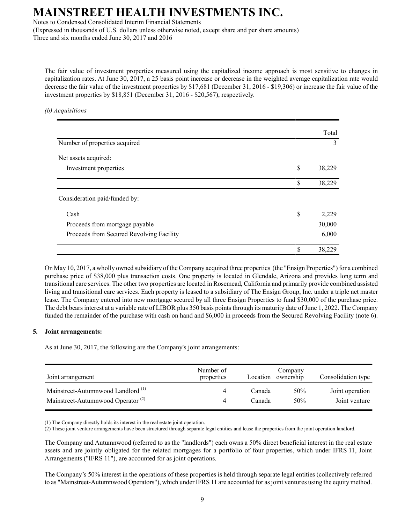Notes to Condensed Consolidated Interim Financial Statements

(Expressed in thousands of U.S. dollars unless otherwise noted, except share and per share amounts) Three and six months ended June 30, 2017 and 2016

The fair value of investment properties measured using the capitalized income approach is most sensitive to changes in capitalization rates. At June 30, 2017, a 25 basis point increase or decrease in the weighted average capitalization rate would decrease the fair value of the investment properties by \$17,681 (December 31, 2016 - \$19,306) or increase the fair value of the investment properties by \$18,851 (December 31, 2016 - \$20,567), respectively.

### *(b) Acquisitions*

|                                          | Total        |
|------------------------------------------|--------------|
| Number of properties acquired            | 3            |
| Net assets acquired:                     |              |
| Investment properties                    | \$<br>38,229 |
|                                          | \$<br>38,229 |
| Consideration paid/funded by:            |              |
| Cash                                     | \$<br>2,229  |
| Proceeds from mortgage payable           | 30,000       |
| Proceeds from Secured Revolving Facility | 6,000        |
|                                          | \$<br>38,229 |

On May 10, 2017, a wholly owned subsidiary of the Company acquired three properties (the "Ensign Properties") for a combined purchase price of \$38,000 plus transaction costs. One property is located in Glendale, Arizona and provides long term and transitional care services. The other two properties are located in Rosemead, California and primarily provide combined assisted living and transitional care services. Each property is leased to a subsidiary of The Ensign Group, Inc. under a triple net master lease. The Company entered into new mortgage secured by all three Ensign Properties to fund \$30,000 of the purchase price. The debt bears interest at a variable rate of LIBOR plus 350 basis points through its maturity date of June 1, 2022. The Company funded the remainder of the purchase with cash on hand and \$6,000 in proceeds from the Secured Revolving Facility (note 6).

### **5. Joint arrangements:**

As at June 30, 2017, the following are the Company's joint arrangements:

| Joint arrangement                             | Number of<br>properties | Location | Company<br>ownership | Consolidation type |
|-----------------------------------------------|-------------------------|----------|----------------------|--------------------|
| Mainstreet-Autumnwood Landlord <sup>(1)</sup> |                         | Canada   | 50%                  | Joint operation    |
| Mainstreet-Autumnwood Operator <sup>(2)</sup> |                         | Canada   | 50%                  | Joint venture      |

(1) The Company directly holds its interest in the real estate joint operation.

(2) These joint venture arrangements have been structured through separate legal entities and lease the properties from the joint operation landlord.

The Company and Autumnwood (referred to as the "landlords") each owns a 50% direct beneficial interest in the real estate assets and are jointly obligated for the related mortgages for a portfolio of four properties, which under IFRS 11, Joint Arrangements ("IFRS 11"), are accounted for as joint operations.

The Company's 50% interest in the operations of these properties is held through separate legal entities (collectively referred to as "Mainstreet-Autumnwood Operators"), which under IFRS 11 are accounted for as joint ventures using the equity method.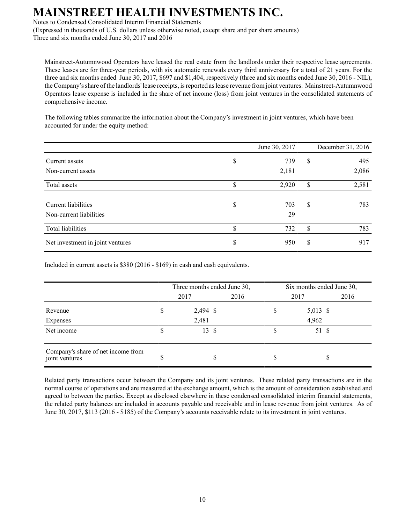Notes to Condensed Consolidated Interim Financial Statements

(Expressed in thousands of U.S. dollars unless otherwise noted, except share and per share amounts) Three and six months ended June 30, 2017 and 2016

Mainstreet-Autumnwood Operators have leased the real estate from the landlords under their respective lease agreements. These leases are for three-year periods, with six automatic renewals every third anniversary for a total of 21 years. For the three and six months ended June 30, 2017, \$697 and \$1,404, respectively (three and six months ended June 30, 2016 - NIL), the Company's share of the landlords' lease receipts, is reported as lease revenue from joint ventures. Mainstreet-Autumnwood Operators lease expense is included in the share of net income (loss) from joint ventures in the consolidated statements of comprehensive income.

The following tables summarize the information about the Company's investment in joint ventures, which have been accounted for under the equity method:

|                                  |    | June 30, 2017 | December 31, 2016 |
|----------------------------------|----|---------------|-------------------|
| Current assets                   | \$ | 739           | \$<br>495         |
| Non-current assets               |    | 2,181         | 2,086             |
| Total assets                     | \$ | 2,920         | \$<br>2,581       |
|                                  |    |               |                   |
| Current liabilities              | S  | 703           | \$<br>783         |
| Non-current liabilities          |    | 29            |                   |
| Total liabilities                | S  | 732           | \$<br>783         |
| Net investment in joint ventures | \$ | 950           | \$<br>917         |

Included in current assets is \$380 (2016 - \$169) in cash and cash equivalents.

|                                                      | Three months ended June 30, |  |      |  | Six months ended June 30, |      |  |  |
|------------------------------------------------------|-----------------------------|--|------|--|---------------------------|------|--|--|
|                                                      | 2017                        |  | 2016 |  | 2017                      | 2016 |  |  |
| Revenue                                              | \$<br>2,494 \$              |  |      |  | 5,013 \$                  |      |  |  |
| Expenses                                             | 2,481                       |  |      |  | 4,962                     |      |  |  |
| Net income                                           | \$<br>13S                   |  |      |  | 51 \$                     |      |  |  |
| Company's share of net income from<br>joint ventures | \$                          |  |      |  |                           |      |  |  |

Related party transactions occur between the Company and its joint ventures. These related party transactions are in the normal course of operations and are measured at the exchange amount, which is the amount of consideration established and agreed to between the parties. Except as disclosed elsewhere in these condensed consolidated interim financial statements, the related party balances are included in accounts payable and receivable and in lease revenue from joint ventures. As of June 30, 2017, \$113 (2016 - \$185) of the Company's accounts receivable relate to its investment in joint ventures.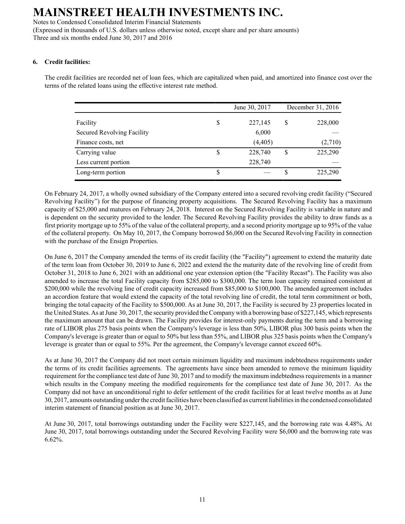Notes to Condensed Consolidated Interim Financial Statements (Expressed in thousands of U.S. dollars unless otherwise noted, except share and per share amounts) Three and six months ended June 30, 2017 and 2016

## **6. Credit facilities:**

The credit facilities are recorded net of loan fees, which are capitalized when paid, and amortized into finance cost over the terms of the related loans using the effective interest rate method.

|                            | June 30, 2017 | December 31, 2016 |         |
|----------------------------|---------------|-------------------|---------|
| Facility                   | \$<br>227,145 | S                 | 228,000 |
| Secured Revolving Facility | 6,000         |                   |         |
| Finance costs, net         | (4, 405)      |                   | (2,710) |
| Carrying value             | \$<br>228,740 | S                 | 225,290 |
| Less current portion       | 228,740       |                   |         |
| Long-term portion          | \$            |                   | 225,290 |

On February 24, 2017, a wholly owned subsidiary of the Company entered into a secured revolving credit facility ("Secured Revolving Facility") for the purpose of financing property acquisitions. The Secured Revolving Facility has a maximum capacity of \$25,000 and matures on February 24, 2018. Interest on the Secured Revolving Facility is variable in nature and is dependent on the security provided to the lender. The Secured Revolving Facility provides the ability to draw funds as a first priority mortgage up to 55% of the value of the collateral property, and a second priority mortgage up to 95% of the value of the collateral property. On May 10, 2017, the Company borrowed \$6,000 on the Secured Revolving Facility in connection with the purchase of the Ensign Properties.

On June 6, 2017 the Company amended the terms of its credit facility (the "Facility") agreement to extend the maturity date of the term loan from October 30, 2019 to June 6, 2022 and extend the the maturity date of the revolving line of credit from October 31, 2018 to June 6, 2021 with an additional one year extension option (the "Facility Recast"). The Facility was also amended to increase the total Facility capacity from \$285,000 to \$300,000. The term loan capacity remained consistent at \$200,000 while the revolving line of credit capacity increased from \$85,000 to \$100,000. The amended agreement includes an accordion feature that would extend the capacity of the total revolving line of credit, the total term commitment or both, bringing the total capacity of the Facility to \$500,000. As at June 30, 2017, the Facility is secured by 23 properties located in the United States. As at June 30, 2017, the security provided the Company with a borrowing base of \$227,145, which represents the maximum amount that can be drawn. The Facility provides for interest-only payments during the term and a borrowing rate of LIBOR plus 275 basis points when the Company's leverage is less than 50%, LIBOR plus 300 basis points when the Company's leverage is greater than or equal to 50% but less than 55%, and LIBOR plus 325 basis points when the Company's leverage is greater than or equal to 55%. Per the agreement, the Company's leverage cannot exceed 60%.

As at June 30, 2017 the Company did not meet certain minimum liquidity and maximum indebtedness requirements under the terms of its credit facilities agreements. The agreements have since been amended to remove the minimum liquidity requirement for the compliance test date of June 30, 2017 and to modify the maximum indebtedness requirements in a manner which results in the Company meeting the modified requirements for the compliance test date of June 30, 2017. As the Company did not have an unconditional right to defer settlement of the credit facilities for at least twelve months as at June 30, 2017, amounts outstanding under the credit facilities have been classified as current liabilities in the condensed consolidated interim statement of financial position as at June 30, 2017.

At June 30, 2017, total borrowings outstanding under the Facility were \$227,145, and the borrowing rate was 4.48%. At June 30, 2017, total borrowings outstanding under the Secured Revolving Facility were \$6,000 and the borrowing rate was 6.62%.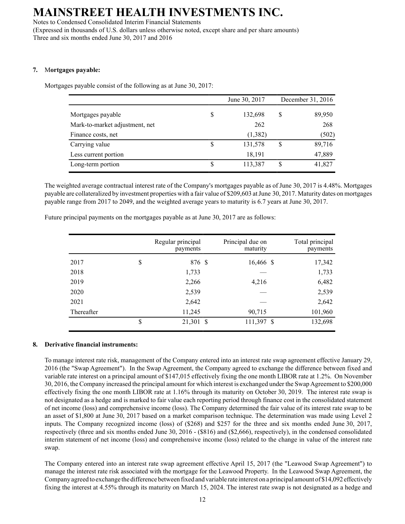Notes to Condensed Consolidated Interim Financial Statements (Expressed in thousands of U.S. dollars unless otherwise noted, except share and per share amounts) Three and six months ended June 30, 2017 and 2016

### **7.** M**ortgages payable:**

Mortgages payable consist of the following as at June 30, 2017:

|                                |    | June 30, 2017 | December 31, 2016 |        |
|--------------------------------|----|---------------|-------------------|--------|
| Mortgages payable              | \$ | 132,698       | S                 | 89,950 |
| Mark-to-market adjustment, net |    | 262           |                   | 268    |
| Finance costs, net             |    | (1,382)       |                   | (502)  |
| Carrying value                 | S  | 131,578       | \$                | 89,716 |
| Less current portion           |    | 18,191        |                   | 47,889 |
| Long-term portion              | \$ | 113,387       | S                 | 41,827 |

The weighted average contractual interest rate of the Company's mortgages payable as of June 30, 2017 is 4.48%. Mortgages payable are collateralized by investment properties with a fair value of \$209,603 at June 30, 2017. Maturity dates on mortgages payable range from 2017 to 2049, and the weighted average years to maturity is 6.7 years at June 30, 2017.

|            | Regular principal<br>payments | Principal due on<br>maturity | Total principal<br>payments |
|------------|-------------------------------|------------------------------|-----------------------------|
| 2017       | \$<br>876 \$                  | 16,466 \$                    | 17,342                      |
| 2018       | 1,733                         |                              | 1,733                       |
| 2019       | 2,266                         | 4,216                        | 6,482                       |
| 2020       | 2,539                         |                              | 2,539                       |
| 2021       | 2,642                         |                              | 2,642                       |
| Thereafter | 11,245                        | 90,715                       | 101,960                     |
|            | \$<br>21,301 \$               | 111,397 \$                   | 132,698                     |

Future principal payments on the mortgages payable as at June 30, 2017 are as follows:

### **8. Derivative financial instruments:**

To manage interest rate risk, management of the Company entered into an interest rate swap agreement effective January 29, 2016 (the "Swap Agreement"). In the Swap Agreement, the Company agreed to exchange the difference between fixed and variable rate interest on a principal amount of \$147,015 effectively fixing the one month LIBOR rate at 1.2%. On November 30, 2016, the Company increased the principal amount for which interest is exchanged under the Swap Agreement to \$200,000 effectively fixing the one month LIBOR rate at 1.16% through its maturity on October 30, 2019. The interest rate swap is not designated as a hedge and is marked to fair value each reporting period through finance cost in the consolidated statement of net income (loss) and comprehensive income (loss). The Company determined the fair value of its interest rate swap to be an asset of \$1,800 at June 30, 2017 based on a market comparison technique. The determination was made using Level 2 inputs. The Company recognized income (loss) of (\$268) and \$257 for the three and six months ended June 30, 2017, respectively (three and six months ended June 30, 2016 - (\$816) and (\$2,666), respectively), in the condensed consolidated interim statement of net income (loss) and comprehensive income (loss) related to the change in value of the interest rate swap.

The Company entered into an interest rate swap agreement effective April 15, 2017 (the "Leawood Swap Agreement") to manage the interest rate risk associated with the mortgage for the Leawood Property. In the Leawood Swap Agreement, the Company agreed to exchange the difference between fixed and variable rate interest on a principal amount of \$14,092 effectively fixing the interest at 4.55% through its maturity on March 15, 2024. The interest rate swap is not designated as a hedge and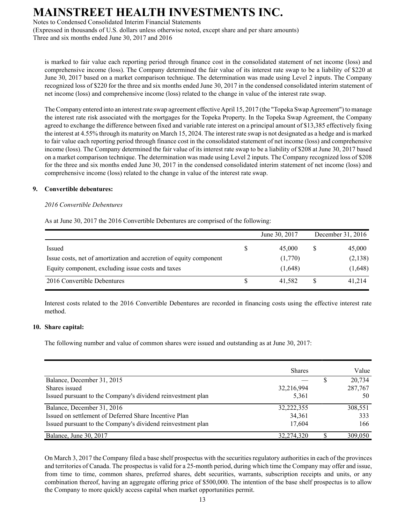Notes to Condensed Consolidated Interim Financial Statements

(Expressed in thousands of U.S. dollars unless otherwise noted, except share and per share amounts) Three and six months ended June 30, 2017 and 2016

is marked to fair value each reporting period through finance cost in the consolidated statement of net income (loss) and comprehensive income (loss). The Company determined the fair value of its interest rate swap to be a liability of \$220 at June 30, 2017 based on a market comparison technique. The determination was made using Level 2 inputs. The Company recognized loss of \$220 for the three and six months ended June 30, 2017 in the condensed consolidated interim statement of net income (loss) and comprehensive income (loss) related to the change in value of the interest rate swap.

The Company entered into an interest rate swap agreement effective April 15, 2017 (the "Topeka Swap Agreement") to manage the interest rate risk associated with the mortgages for the Topeka Property. In the Topeka Swap Agreement, the Company agreed to exchange the difference between fixed and variable rate interest on a principal amount of \$13,385 effectively fixing the interest at 4.55% through its maturity on March 15, 2024. The interest rate swap is not designated as a hedge and is marked to fair value each reporting period through finance cost in the consolidated statement of net income (loss) and comprehensive income (loss). The Company determined the fair value of its interest rate swap to be a liability of \$208 at June 30, 2017 based on a market comparison technique. The determination was made using Level 2 inputs. The Company recognized loss of \$208 for the three and six months ended June 30, 2017 in the condensed consolidated interim statement of net income (loss) and comprehensive income (loss) related to the change in value of the interest rate swap.

## **9. Convertible debentures:**

## *2016 Convertible Debentures*

As at June 30, 2017 the 2016 Convertible Debentures are comprised of the following:

|                                                                    |   | June 30, 2017 | December 31, 2016 |
|--------------------------------------------------------------------|---|---------------|-------------------|
| Issued                                                             | S | 45,000        | 45,000            |
| Issue costs, net of amortization and accretion of equity component |   | (1,770)       | (2,138)           |
| Equity component, excluding issue costs and taxes                  |   | (1,648)       | (1,648)           |
| 2016 Convertible Debentures                                        |   | 41.582        | 41,214            |

Interest costs related to the 2016 Convertible Debentures are recorded in financing costs using the effective interest rate method.

## **10. Share capital:**

The following number and value of common shares were issued and outstanding as at June 30, 2017:

|                                                             | <b>Shares</b> | Value   |
|-------------------------------------------------------------|---------------|---------|
| Balance, December 31, 2015                                  |               | 20,734  |
| Shares issued                                               | 32,216,994    | 287,767 |
| Issued pursuant to the Company's dividend reinvestment plan | 5,361         | 50      |
| Balance, December 31, 2016                                  | 32,222,355    | 308.551 |
| Issued on settlement of Deferred Share Incentive Plan       | 34,361        | 333     |
| Issued pursuant to the Company's dividend reinvestment plan | 17.604        | 166     |
| Balance, June 30, 2017                                      | 32,274,320    | 309,050 |

On March 3, 2017 the Company filed a base shelf prospectus with the securities regulatory authorities in each of the provinces and territories of Canada. The prospectus is valid for a 25-month period, during which time the Company may offer and issue, from time to time, common shares, preferred shares, debt securities, warrants, subscription receipts and units, or any combination thereof, having an aggregate offering price of \$500,000. The intention of the base shelf prospectus is to allow the Company to more quickly access capital when market opportunities permit.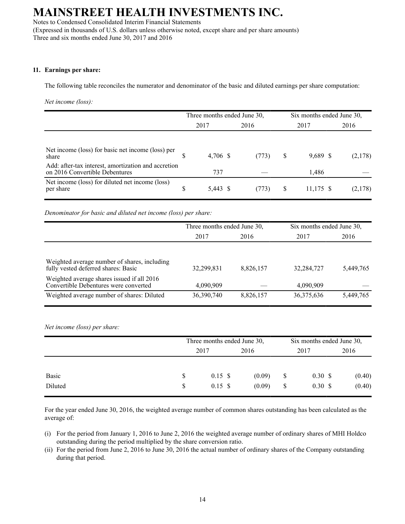Notes to Condensed Consolidated Interim Financial Statements (Expressed in thousands of U.S. dollars unless otherwise noted, except share and per share amounts) Three and six months ended June 30, 2017 and 2016

### **11. Earnings per share:**

The following table reconciles the numerator and denominator of the basic and diluted earnings per share computation:

*Net income (loss):*

|                                                                                       | Three months ended June 30, |          |  |       |      | Six months ended June 30, |         |  |
|---------------------------------------------------------------------------------------|-----------------------------|----------|--|-------|------|---------------------------|---------|--|
|                                                                                       | 2017                        |          |  | 2016  | 2017 |                           | 2016    |  |
|                                                                                       |                             |          |  |       |      |                           |         |  |
| Net income (loss) for basic net income (loss) per<br>share                            |                             | 4,706 \$ |  | (773) | S    | 9,689 \$                  | (2,178) |  |
| Add: after-tax interest, amortization and accretion<br>on 2016 Convertible Debentures |                             | 737      |  |       |      | 1,486                     |         |  |
| Net income (loss) for diluted net income (loss)<br>per share                          | \$                          | 5,443 \$ |  | (773) | S    | 11,175 \$                 | (2,178) |  |

*Denominator for basic and diluted net income (loss) per share:*

|                                                                                     | Three months ended June 30, |           | Six months ended June 30, |           |
|-------------------------------------------------------------------------------------|-----------------------------|-----------|---------------------------|-----------|
|                                                                                     | 2017<br>2016                |           | 2017                      | 2016      |
|                                                                                     |                             |           |                           |           |
| Weighted average number of shares, including<br>fully vested deferred shares: Basic | 32,299,831                  | 8,826,157 | 32,284,727                | 5,449,765 |
| Weighted average shares issued if all 2016<br>Convertible Debentures were converted | 4,090,909                   |           | 4,090,909                 |           |
| Weighted average number of shares: Diluted                                          | 36,390,740                  | 8,826,157 | 36,375,636                | 5,449,765 |

*Net income (loss) per share:*

|                  |                                | Three months ended June 30,  |  |                  |                                | Six months ended June 30,    |      |                  |
|------------------|--------------------------------|------------------------------|--|------------------|--------------------------------|------------------------------|------|------------------|
|                  |                                | 2017                         |  | 2016             | 2017                           |                              | 2016 |                  |
| Basic<br>Diluted | <sup>\$</sup><br><sup>\$</sup> | $0.15 \text{ }$ \$<br>0.15 S |  | (0.09)<br>(0.09) | <sup>\$</sup><br><sup>\$</sup> | $0.30 \text{ }$ \$<br>0.30 S |      | (0.40)<br>(0.40) |

For the year ended June 30, 2016, the weighted average number of common shares outstanding has been calculated as the average of:

- (i) For the period from January 1, 2016 to June 2, 2016 the weighted average number of ordinary shares of MHI Holdco outstanding during the period multiplied by the share conversion ratio.
- (ii) For the period from June 2, 2016 to June 30, 2016 the actual number of ordinary shares of the Company outstanding during that period.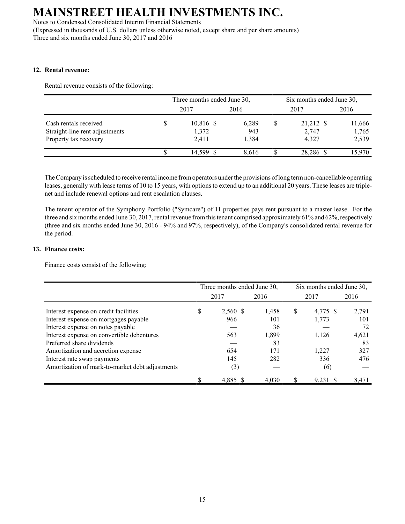Notes to Condensed Consolidated Interim Financial Statements (Expressed in thousands of U.S. dollars unless otherwise noted, except share and per share amounts) Three and six months ended June 30, 2017 and 2016

## **12. Rental revenue:**

Rental revenue consists of the following:

|                                                                                  | Three months ended June 30, |                             |                       |       |  | Six months ended June 30,   |                          |  |  |  |
|----------------------------------------------------------------------------------|-----------------------------|-----------------------------|-----------------------|-------|--|-----------------------------|--------------------------|--|--|--|
|                                                                                  |                             | 2017                        | 2016                  |       |  | 2017                        | 2016                     |  |  |  |
| Cash rentals received<br>Straight-line rent adjustments<br>Property tax recovery |                             | 10,816 \$<br>1,372<br>2,411 | 6,289<br>943<br>1,384 |       |  | 21,212 \$<br>2,747<br>4.327 | 11,666<br>1,765<br>2,539 |  |  |  |
|                                                                                  |                             | 14.599                      |                       | 8.616 |  | 28,286 \$                   | 15.970                   |  |  |  |

The Company is scheduled to receive rental income from operators under the provisions of long term non-cancellable operating leases, generally with lease terms of 10 to 15 years, with options to extend up to an additional 20 years. These leases are triplenet and include renewal options and rent escalation clauses.

The tenant operator of the Symphony Portfolio ("Symcare") of 11 properties pays rent pursuant to a master lease. For the three and six months ended June 30, 2017, rental revenue from this tenant comprised approximately 61% and 62%, respectively (three and six months ended June 30, 2016 - 94% and 97%, respectively), of the Company's consolidated rental revenue for the period.

## **13. Finance costs:**

Finance costs consist of the following:

|                                                 | Three months ended June 30, |          |       |      | Six months ended June 30, |       |  |  |
|-------------------------------------------------|-----------------------------|----------|-------|------|---------------------------|-------|--|--|
|                                                 |                             | 2017     | 2016  | 2017 |                           | 2016  |  |  |
| Interest expense on credit facilities           | S                           | 2,560 \$ | 1,458 | S    | 4,775 \$                  | 2,791 |  |  |
| Interest expense on mortgages payable           |                             | 966      | 101   |      | 1,773                     | 101   |  |  |
| Interest expense on notes payable               |                             |          | 36    |      |                           | 72    |  |  |
| Interest expense on convertible debentures      |                             | 563      | 1,899 |      | 1.126                     | 4,621 |  |  |
| Preferred share dividends                       |                             |          | 83    |      |                           | 83    |  |  |
| Amortization and accretion expense              |                             | 654      | 171   |      | 1.227                     | 327   |  |  |
| Interest rate swap payments                     |                             | 145      | 282   |      | 336                       | 476   |  |  |
| Amortization of mark-to-market debt adjustments |                             | (3)      |       |      | (6)                       |       |  |  |
|                                                 |                             | 4,885    | 4,030 |      | 9,231                     | 8,471 |  |  |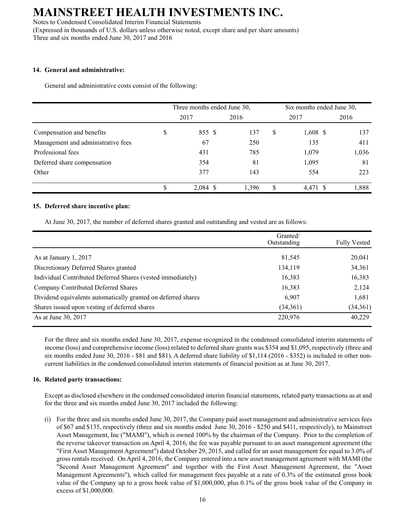Notes to Condensed Consolidated Interim Financial Statements (Expressed in thousands of U.S. dollars unless otherwise noted, except share and per share amounts) Three and six months ended June 30, 2017 and 2016

### **14. General and administrative:**

General and administrative costs consist of the following:

|                                    | Three months ended June 30, |            |       |    | Six months ended June 30, |       |  |  |
|------------------------------------|-----------------------------|------------|-------|----|---------------------------|-------|--|--|
|                                    |                             | 2017       | 2016  |    | 2017                      | 2016  |  |  |
| Compensation and benefits          |                             | 855 \$     | 137   | S  | 1,608 \$                  | 137   |  |  |
| Management and administrative fees |                             | 67         | 250   |    | 135                       | 411   |  |  |
| Professional fees                  |                             | 431        | 785   |    | 1,079                     | 1,036 |  |  |
| Deferred share compensation        |                             | 354        | 81    |    | 1,095                     | 81    |  |  |
| Other                              |                             | 377        | 143   |    | 554                       | 223   |  |  |
|                                    |                             | $2,084$ \$ | 1,396 | \$ | 4,471 \$                  | 1,888 |  |  |

### **15. Deferred share incentive plan:**

At June 30, 2017, the number of deferred shares granted and outstanding and vested are as follows:

|                                                               | Granted/<br>Outstanding | <b>Fully Vested</b> |
|---------------------------------------------------------------|-------------------------|---------------------|
|                                                               |                         |                     |
| As at January 1, 2017                                         | 81,545                  | 20,041              |
| Discretionary Deferred Shares granted                         | 134,119                 | 34,361              |
| Individual Contributed Deferred Shares (vested immediately)   | 16,383                  | 16,383              |
| Company Contributed Deferred Shares                           | 16,383                  | 2,124               |
| Dividend equivalents automatically granted on deferred shares | 6,907                   | 1,681               |
| Shares issued upon vesting of deferred shares                 | (34,361)                | (34,361)            |
| As at June 30, 2017                                           | 220,976                 | 40,229              |

For the three and six months ended June 30, 2017, expense recognized in the condensed consolidated interim statements of income (loss) and comprehensive income (loss) related to deferred share grants was \$354 and \$1,095, respectively (three and six months ended June 30, 2016 - \$81 and \$81). A deferred share liability of \$1,114 (2016 - \$352) is included in other noncurrent liabilities in the condensed consolidated interim statements of financial position as at June 30, 2017.

### **16. Related party transactions:**

Except as disclosed elsewhere in the condensed consolidated interim financial statements, related party transactions as at and for the three and six months ended June 30, 2017 included the following:

(i) For the three and six months ended June 30, 2017, the Company paid asset management and administrative services fees of \$67 and \$135, respectively (three and six months ended June 30, 2016 - \$250 and \$411, respectively), to Mainstreet Asset Management, Inc ("MAMI"), which is owned 100% by the chairman of the Company. Prior to the completion of the reverse takeover transaction on April 4, 2016, the fee was payable pursuant to an asset management agreement (the "First Asset Management Agreement") dated October 29, 2015, and called for an asset management fee equal to 3.0% of gross rentals received. On April 4, 2016, the Company entered into a new asset management agreement with MAMI (the "Second Asset Management Agreement" and together with the First Asset Management Agreement, the "Asset Management Agreements"), which called for management fees payable at a rate of 0.3% of the estimated gross book value of the Company up to a gross book value of \$1,000,000, plus 0.1% of the gross book value of the Company in excess of \$1,000,000.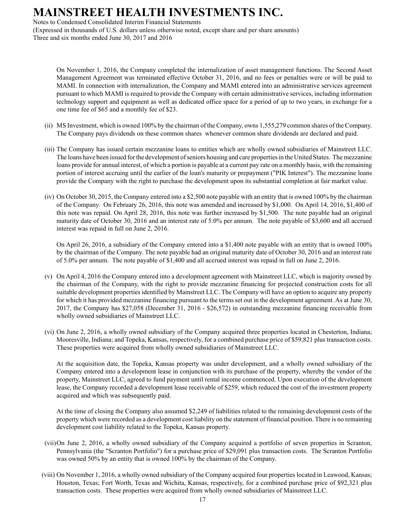Notes to Condensed Consolidated Interim Financial Statements (Expressed in thousands of U.S. dollars unless otherwise noted, except share and per share amounts) Three and six months ended June 30, 2017 and 2016

On November 1, 2016, the Company completed the internalization of asset management functions. The Second Asset Management Agreement was terminated effective October 31, 2016, and no fees or penalties were or will be paid to MAMI. In connection with internalization, the Company and MAMI entered into an administrative services agreement pursuant to which MAMI is required to provide the Company with certain administrative services, including information technology support and equipment as well as dedicated office space for a period of up to two years, in exchange for a one time fee of \$65 and a monthly fee of \$23.

- (ii) MS Investment, which is owned 100% by the chairman of the Company, owns 1,555,279 common shares of the Company. The Company pays dividends on these common shares whenever common share dividends are declared and paid.
- (iii) The Company has issued certain mezzanine loans to entities which are wholly owned subsidiaries of Mainstreet LLC. The loans have been issued for the development of seniors housing and care properties in the United States. The mezzanine loans provide for annual interest, of which a portion is payable at a current pay rate on a monthly basis, with the remaining portion of interest accruing until the earlier of the loan's maturity or prepayment ("PIK Interest"). The mezzanine loans provide the Company with the right to purchase the development upon its substantial completion at fair market value.
- (iv) On October 30, 2015, the Company entered into a \$2,500 note payable with an entity that is owned 100% by the chairman of the Company. On February 26, 2016, this note was amended and increased by \$1,000. On April 14, 2016, \$1,400 of this note was repaid. On April 28, 2016, this note was further increased by \$1,500. The note payable had an original maturity date of October 30, 2016 and an interest rate of 5.0% per annum. The note payable of \$3,600 and all accrued interest was repaid in full on June 2, 2016.

On April 26, 2016, a subsidiary of the Company entered into a \$1,400 note payable with an entity that is owned 100% by the chairman of the Company. The note payable had an original maturity date of October 30, 2016 and an interest rate of 5.0% per annum. The note payable of \$1,400 and all accrued interest was repaid in full on June 2, 2016.

- (v) On April 4, 2016 the Company entered into a development agreement with Mainstreet LLC, which is majority owned by the chairman of the Company, with the right to provide mezzanine financing for projected construction costs for all suitable development properties identified by Mainstreet LLC. The Company will have an option to acquire any property for which it has provided mezzanine financing pursuant to the terms set out in the development agreement. As at June 30, 2017, the Company has \$27,058 (December 31, 2016 - \$26,572) in outstanding mezzanine financing receivable from wholly owned subsidiaries of Mainstreet LLC.
- (vi) On June 2, 2016, a wholly owned subsidiary of the Company acquired three properties located in Chesterton, Indiana; Mooresville, Indiana; and Topeka, Kansas, respectively, for a combined purchase price of \$59,821 plus transaction costs. These properties were acquired from wholly owned subsidiaries of Mainstreet LLC.

At the acquisition date, the Topeka, Kansas property was under development, and a wholly owned subsidiary of the Company entered into a development lease in conjunction with its purchase of the property, whereby the vendor of the property, Mainstreet LLC, agreed to fund payment until rental income commenced. Upon execution of the development lease, the Company recorded a development lease receivable of \$259, which reduced the cost of the investment property acquired and which was subsequently paid.

At the time of closing the Company also assumed \$2,249 of liabilities related to the remaining development costs of the property which were recorded as a development cost liability on the statement of financial position. There is no remaining development cost liability related to the Topeka, Kansas property.

- (vii) On June 2, 2016, a wholly owned subsidiary of the Company acquired a portfolio of seven properties in Scranton, Pennsylvania (the "Scranton Portfolio") for a purchase price of \$29,091 plus transaction costs. The Scranton Portfolio was owned 50% by an entity that is owned 100% by the chairman of the Company.
- (viii) On November 1, 2016, a wholly owned subsidiary of the Company acquired four properties located in Leawood, Kansas; Houston, Texas; Fort Worth, Texas and Wichita, Kansas, respectively, for a combined purchase price of \$92,321 plus transaction costs. These properties were acquired from wholly owned subsidiaries of Mainstreet LLC.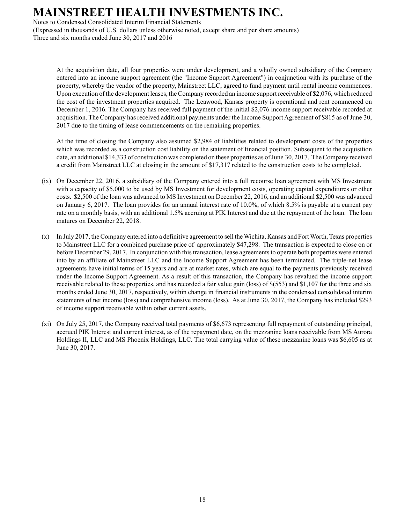Notes to Condensed Consolidated Interim Financial Statements

(Expressed in thousands of U.S. dollars unless otherwise noted, except share and per share amounts) Three and six months ended June 30, 2017 and 2016

At the acquisition date, all four properties were under development, and a wholly owned subsidiary of the Company entered into an income support agreement (the "Income Support Agreement") in conjunction with its purchase of the property, whereby the vendor of the property, Mainstreet LLC, agreed to fund payment until rental income commences. Upon execution of the development leases, the Company recorded an income support receivable of \$2,076, which reduced the cost of the investment properties acquired. The Leawood, Kansas property is operational and rent commenced on December 1, 2016. The Company has received full payment of the initial \$2,076 income support receivable recorded at acquisition. The Company has received additional payments under the Income Support Agreement of \$815 as of June 30, 2017 due to the timing of lease commencements on the remaining properties.

At the time of closing the Company also assumed \$2,984 of liabilities related to development costs of the properties which was recorded as a construction cost liability on the statement of financial position. Subsequent to the acquisition date, an additional \$14,333 of construction was completed on these properties as of June 30, 2017. The Company received a credit from Mainstreet LLC at closing in the amount of \$17,317 related to the construction costs to be completed.

- (ix) On December 22, 2016, a subsidiary of the Company entered into a full recourse loan agreement with MS Investment with a capacity of \$5,000 to be used by MS Investment for development costs, operating capital expenditures or other costs. \$2,500 of the loan was advanced to MS Investment on December 22, 2016, and an additional \$2,500 was advanced on January 6, 2017. The loan provides for an annual interest rate of 10.0%, of which 8.5% is payable at a current pay rate on a monthly basis, with an additional 1.5% accruing at PIK Interest and due at the repayment of the loan. The loan matures on December 22, 2018.
- (x) In July 2017, the Company entered into a definitive agreement to sell the Wichita, Kansas and Fort Worth, Texas properties to Mainstreet LLC for a combined purchase price of approximately \$47,298. The transaction is expected to close on or before December 29, 2017. In conjunction with this transaction, lease agreements to operate both properties were entered into by an affiliate of Mainstreet LLC and the Income Support Agreement has been terminated. The triple-net lease agreements have initial terms of 15 years and are at market rates, which are equal to the payments previously received under the Income Support Agreement. As a result of this transaction, the Company has revalued the income support receivable related to these properties, and has recorded a fair value gain (loss) of \$(553) and \$1,107 for the three and six months ended June 30, 2017, respectively, within change in financial instruments in the condensed consolidated interim statements of net income (loss) and comprehensive income (loss). As at June 30, 2017, the Company has included \$293 of income support receivable within other current assets.
- (xi) On July 25, 2017, the Company received total payments of \$6,673 representing full repayment of outstanding principal, accrued PIK Interest and current interest, as of the repayment date, on the mezzanine loans receivable from MS Aurora Holdings II, LLC and MS Phoenix Holdings, LLC. The total carrying value of these mezzanine loans was \$6,605 as at June 30, 2017.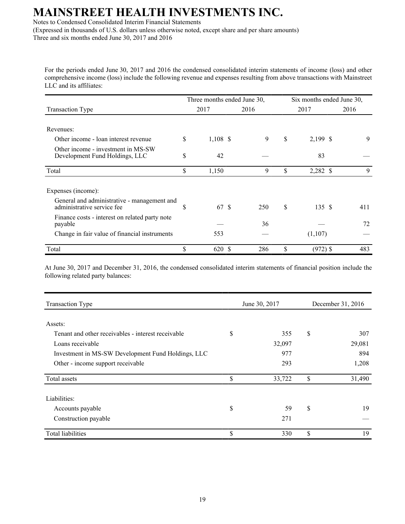Notes to Condensed Consolidated Interim Financial Statements

(Expressed in thousands of U.S. dollars unless otherwise noted, except share and per share amounts) Three and six months ended June 30, 2017 and 2016

For the periods ended June 30, 2017 and 2016 the condensed consolidated interim statements of income (loss) and other comprehensive income (loss) include the following revenue and expenses resulting from above transactions with Mainstreet LLC and its affiliates:

|                                                                           |    | Three months ended June 30, |      | Six months ended June 30, |                   |      |  |  |
|---------------------------------------------------------------------------|----|-----------------------------|------|---------------------------|-------------------|------|--|--|
| Transaction Type                                                          |    | 2017                        | 2016 |                           | 2017              | 2016 |  |  |
| Revenues:                                                                 |    |                             |      |                           |                   |      |  |  |
| Other income - loan interest revenue                                      | \$ | $1,108$ \$                  | 9    | \$                        | 2,199 \$          | 9    |  |  |
| Other income - investment in MS-SW<br>Development Fund Holdings, LLC      | \$ | 42                          |      |                           | 83                |      |  |  |
| Total                                                                     | \$ | 1,150                       | 9    | \$                        | 2,282 \$          | 9    |  |  |
| Expenses (income):                                                        |    |                             |      |                           |                   |      |  |  |
| General and administrative - management and<br>administrative service fee | S  | 67 \$                       | 250  | \$                        | 135 $\frac{1}{3}$ | 411  |  |  |
| Finance costs - interest on related party note<br>payable                 |    |                             | 36   |                           |                   | 72   |  |  |
| Change in fair value of financial instruments                             |    | 553                         |      |                           | (1,107)           |      |  |  |
| Total                                                                     |    | 620 \$                      | 286  | \$                        | $(972)$ \$        | 483  |  |  |

At June 30, 2017 and December 31, 2016, the condensed consolidated interim statements of financial position include the following related party balances:

| <b>Transaction Type</b>                            |    | June 30, 2017 | December 31, 2016 |        |  |
|----------------------------------------------------|----|---------------|-------------------|--------|--|
| Assets:                                            |    |               |                   |        |  |
|                                                    |    |               |                   |        |  |
| Tenant and other receivables - interest receivable | \$ | 355           | \$                | 307    |  |
| Loans receivable                                   |    | 32,097        |                   | 29,081 |  |
| Investment in MS-SW Development Fund Holdings, LLC |    | 977           |                   | 894    |  |
| Other - income support receivable                  |    | 293           |                   | 1,208  |  |
| Total assets                                       | \$ | 33,722        | \$                | 31,490 |  |
| Liabilities:                                       |    |               |                   |        |  |
| Accounts payable                                   | \$ | 59            | \$                | 19     |  |
| Construction payable                               |    | 271           |                   |        |  |
| <b>Total liabilities</b>                           | \$ | 330           | \$                | 19     |  |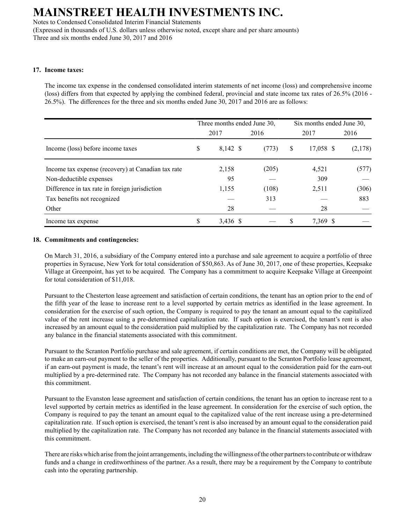Notes to Condensed Consolidated Interim Financial Statements

(Expressed in thousands of U.S. dollars unless otherwise noted, except share and per share amounts) Three and six months ended June 30, 2017 and 2016

### **17. Income taxes:**

The income tax expense in the condensed consolidated interim statements of net income (loss) and comprehensive income (loss) differs from that expected by applying the combined federal, provincial and state income tax rates of 26.5% (2016 - 26.5%). The differences for the three and six months ended June 30, 2017 and 2016 are as follows:

|                                                    | Three months ended June 30, |       | Six months ended June 30, |         |  |
|----------------------------------------------------|-----------------------------|-------|---------------------------|---------|--|
|                                                    | 2017                        | 2016  | 2017                      | 2016    |  |
| Income (loss) before income taxes                  | \$<br>8,142 \$              | (773) | \$<br>17,058 \$           | (2,178) |  |
| Income tax expense (recovery) at Canadian tax rate | 2,158                       | (205) | 4,521                     | (577)   |  |
| Non-deductible expenses                            | 95                          |       | 309                       |         |  |
| Difference in tax rate in foreign jurisdiction     | 1,155                       | (108) | 2,511                     | (306)   |  |
| Tax benefits not recognized                        |                             | 313   |                           | 883     |  |
| Other                                              | 28                          |       | 28                        |         |  |
| Income tax expense                                 | $3,436$ \$                  |       | \$<br>7,369 \$            |         |  |

## **18. Commitments and contingencies:**

On March 31, 2016, a subsidiary of the Company entered into a purchase and sale agreement to acquire a portfolio of three properties in Syracuse, New York for total consideration of \$50,863. As of June 30, 2017, one of these properties, Keepsake Village at Greenpoint, has yet to be acquired. The Company has a commitment to acquire Keepsake Village at Greenpoint for total consideration of \$11,018.

Pursuant to the Chesterton lease agreement and satisfaction of certain conditions, the tenant has an option prior to the end of the fifth year of the lease to increase rent to a level supported by certain metrics as identified in the lease agreement. In consideration for the exercise of such option, the Company is required to pay the tenant an amount equal to the capitalized value of the rent increase using a pre-determined capitalization rate. If such option is exercised, the tenant's rent is also increased by an amount equal to the consideration paid multiplied by the capitalization rate. The Company has not recorded any balance in the financial statements associated with this commitment.

Pursuant to the Scranton Portfolio purchase and sale agreement, if certain conditions are met, the Company will be obligated to make an earn-out payment to the seller of the properties. Additionally, pursuant to the Scranton Portfolio lease agreement, if an earn-out payment is made, the tenant's rent will increase at an amount equal to the consideration paid for the earn-out multiplied by a pre-determined rate. The Company has not recorded any balance in the financial statements associated with this commitment.

Pursuant to the Evanston lease agreement and satisfaction of certain conditions, the tenant has an option to increase rent to a level supported by certain metrics as identified in the lease agreement. In consideration for the exercise of such option, the Company is required to pay the tenant an amount equal to the capitalized value of the rent increase using a pre-determined capitalization rate. If such option is exercised, the tenant's rent is also increased by an amount equal to the consideration paid multiplied by the capitalization rate. The Company has not recorded any balance in the financial statements associated with this commitment.

There are risks which arise from the joint arrangements, including the willingness of the other partners to contribute or withdraw funds and a change in creditworthiness of the partner. As a result, there may be a requirement by the Company to contribute cash into the operating partnership.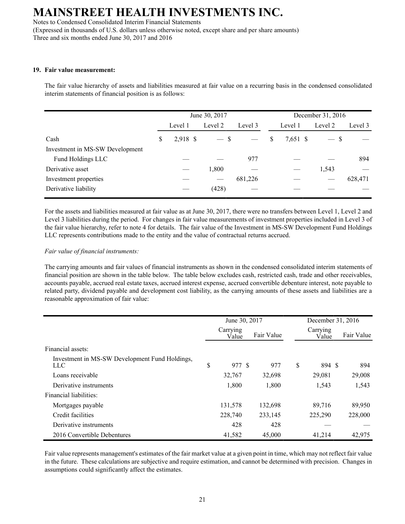Notes to Condensed Consolidated Interim Financial Statements (Expressed in thousands of U.S. dollars unless otherwise noted, except share and per share amounts) Three and six months ended June 30, 2017 and 2016

### **19. Fair value measurement:**

The fair value hierarchy of assets and liabilities measured at fair value on a recurring basis in the condensed consolidated interim statements of financial position is as follows:

|                                 | June 30, 2017  |         | December 31, 2016 |         |                |  |         |         |
|---------------------------------|----------------|---------|-------------------|---------|----------------|--|---------|---------|
|                                 | Level 1        | Level 2 |                   | Level 3 | Level 1        |  | Level 2 | Level 3 |
| Cash                            | \$<br>2,918 \$ |         | $-$ \$            |         | \$<br>7,651 \$ |  | $-$ \$  |         |
| Investment in MS-SW Development |                |         |                   |         |                |  |         |         |
| Fund Holdings LLC               |                |         |                   | 977     |                |  |         | 894     |
| Derivative asset                |                |         | 1,800             |         |                |  | 1,543   |         |
| Investment properties           |                |         |                   | 681,226 |                |  |         | 628,471 |
| Derivative liability            |                |         | (428)             |         |                |  |         |         |
|                                 |                |         |                   |         |                |  |         |         |

For the assets and liabilities measured at fair value as at June 30, 2017, there were no transfers between Level 1, Level 2 and Level 3 liabilities during the period. For changes in fair value measurements of investment properties included in Level 3 of the fair value hierarchy, refer to note 4 for details. The fair value of the Investment in MS-SW Development Fund Holdings LLC represents contributions made to the entity and the value of contractual returns accrued.

## *Fair value of financial instruments:*

The carrying amounts and fair values of financial instruments as shown in the condensed consolidated interim statements of financial position are shown in the table below. The table below excludes cash, restricted cash, trade and other receivables, accounts payable, accrued real estate taxes, accrued interest expense, accrued convertible debenture interest, note payable to related party, dividend payable and development cost liability, as the carrying amounts of these assets and liabilities are a reasonable approximation of fair value:

|                                                       | June 30, 2017 |                   |  |            |    | December 31, 2016 |  |            |  |
|-------------------------------------------------------|---------------|-------------------|--|------------|----|-------------------|--|------------|--|
|                                                       |               | Carrying<br>Value |  | Fair Value |    | Carrying<br>Value |  | Fair Value |  |
| Financial assets:                                     |               |                   |  |            |    |                   |  |            |  |
| Investment in MS-SW Development Fund Holdings,<br>LLC | \$            | 977 \$            |  | 977        | \$ | 894 \$            |  | 894        |  |
| Loans receivable                                      |               | 32,767            |  | 32,698     |    | 29,081            |  | 29,008     |  |
| Derivative instruments                                |               | 1,800             |  | 1,800      |    | 1,543             |  | 1,543      |  |
| Financial liabilities:                                |               |                   |  |            |    |                   |  |            |  |
| Mortgages payable                                     |               | 131,578           |  | 132,698    |    | 89,716            |  | 89,950     |  |
| Credit facilities                                     |               | 228,740           |  | 233,145    |    | 225,290           |  | 228,000    |  |
| Derivative instruments                                |               | 428               |  | 428        |    |                   |  |            |  |
| 2016 Convertible Debentures                           |               | 41,582            |  | 45,000     |    | 41.214            |  | 42,975     |  |

Fair value represents management's estimates of the fair market value at a given point in time, which may not reflect fair value in the future. These calculations are subjective and require estimation, and cannot be determined with precision. Changes in assumptions could significantly affect the estimates.